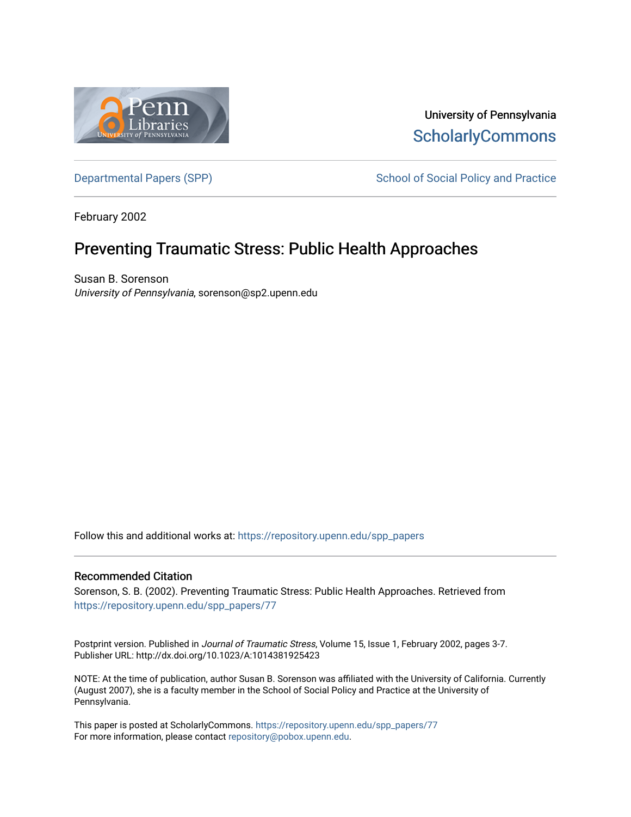

University of Pennsylvania **ScholarlyCommons** 

[Departmental Papers \(SPP\)](https://repository.upenn.edu/spp_papers) School of Social Policy and Practice

February 2002

# Preventing Traumatic Stress: Public Health Approaches

Susan B. Sorenson University of Pennsylvania, sorenson@sp2.upenn.edu

Follow this and additional works at: [https://repository.upenn.edu/spp\\_papers](https://repository.upenn.edu/spp_papers?utm_source=repository.upenn.edu%2Fspp_papers%2F77&utm_medium=PDF&utm_campaign=PDFCoverPages) 

### Recommended Citation

Sorenson, S. B. (2002). Preventing Traumatic Stress: Public Health Approaches. Retrieved from [https://repository.upenn.edu/spp\\_papers/77](https://repository.upenn.edu/spp_papers/77?utm_source=repository.upenn.edu%2Fspp_papers%2F77&utm_medium=PDF&utm_campaign=PDFCoverPages)

Postprint version. Published in Journal of Traumatic Stress, Volume 15, Issue 1, February 2002, pages 3-7. Publisher URL: http://dx.doi.org/10.1023/A:1014381925423

NOTE: At the time of publication, author Susan B. Sorenson was affiliated with the University of California. Currently (August 2007), she is a faculty member in the School of Social Policy and Practice at the University of Pennsylvania.

This paper is posted at ScholarlyCommons. [https://repository.upenn.edu/spp\\_papers/77](https://repository.upenn.edu/spp_papers/77)  For more information, please contact [repository@pobox.upenn.edu.](mailto:repository@pobox.upenn.edu)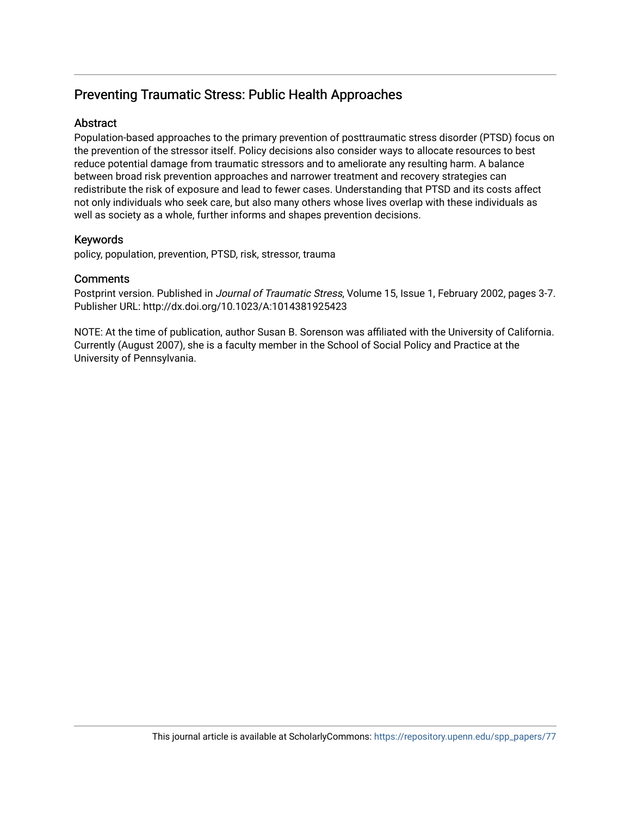## Preventing Traumatic Stress: Public Health Approaches

## **Abstract**

Population-based approaches to the primary prevention of posttraumatic stress disorder (PTSD) focus on the prevention of the stressor itself. Policy decisions also consider ways to allocate resources to best reduce potential damage from traumatic stressors and to ameliorate any resulting harm. A balance between broad risk prevention approaches and narrower treatment and recovery strategies can redistribute the risk of exposure and lead to fewer cases. Understanding that PTSD and its costs affect not only individuals who seek care, but also many others whose lives overlap with these individuals as well as society as a whole, further informs and shapes prevention decisions.

## Keywords

policy, population, prevention, PTSD, risk, stressor, trauma

## **Comments**

Postprint version. Published in Journal of Traumatic Stress, Volume 15, Issue 1, February 2002, pages 3-7. Publisher URL: http://dx.doi.org/10.1023/A:1014381925423

NOTE: At the time of publication, author Susan B. Sorenson was affiliated with the University of California. Currently (August 2007), she is a faculty member in the School of Social Policy and Practice at the University of Pennsylvania.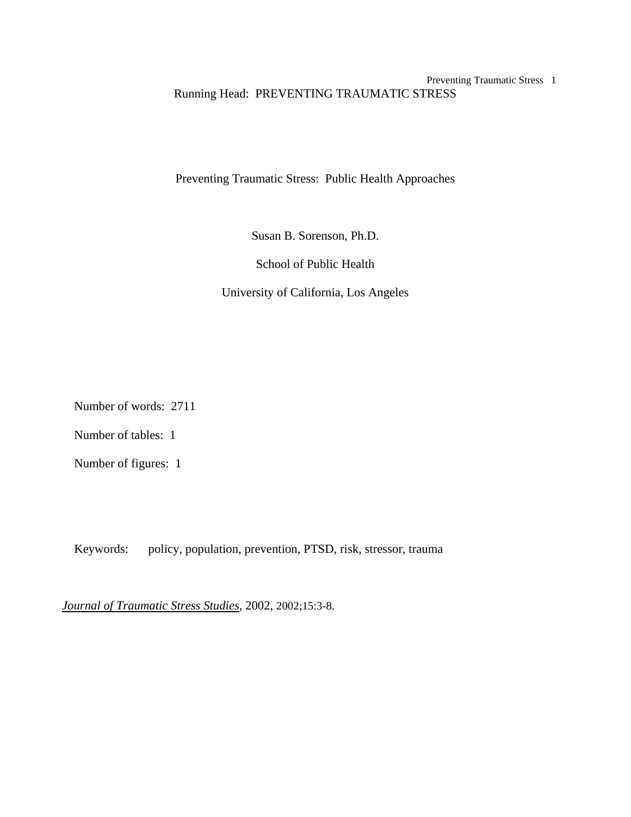## Preventing Traumatic Stress 1 Running Head: PREVENTING TRAUMATIC STRESS

Preventing Traumatic Stress: Public Health Approaches

Susan B. Sorenson, Ph.D.

School of Public Health

University of California, Los Angeles

Number of words: 2711

Number of tables: 1

Number of figures: 1

Keywords: policy, population, prevention, PTSD, risk, stressor, trauma

*Journal of Traumatic Stress Studies*, 2002, 2002;15:3-8.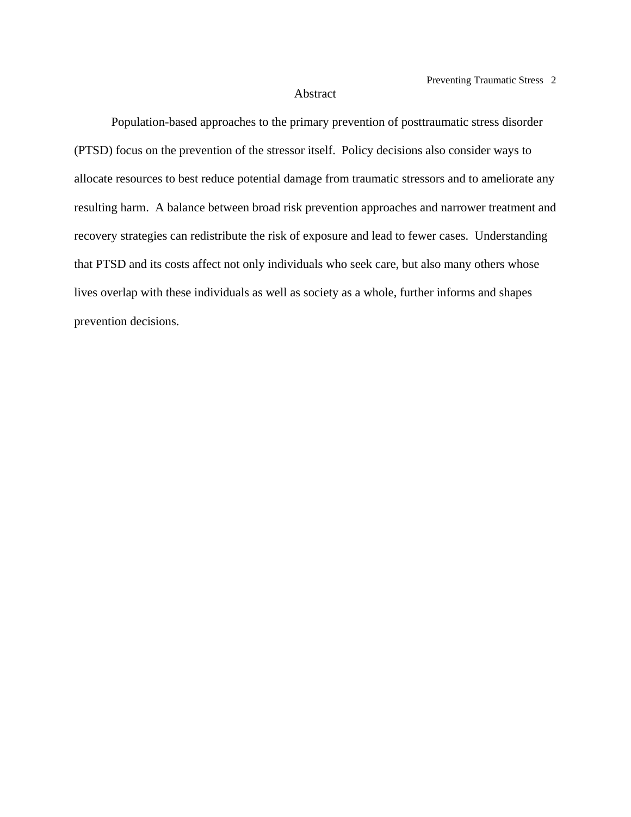#### Abstract

 Population-based approaches to the primary prevention of posttraumatic stress disorder (PTSD) focus on the prevention of the stressor itself. Policy decisions also consider ways to allocate resources to best reduce potential damage from traumatic stressors and to ameliorate any resulting harm. A balance between broad risk prevention approaches and narrower treatment and recovery strategies can redistribute the risk of exposure and lead to fewer cases. Understanding that PTSD and its costs affect not only individuals who seek care, but also many others whose lives overlap with these individuals as well as society as a whole, further informs and shapes prevention decisions.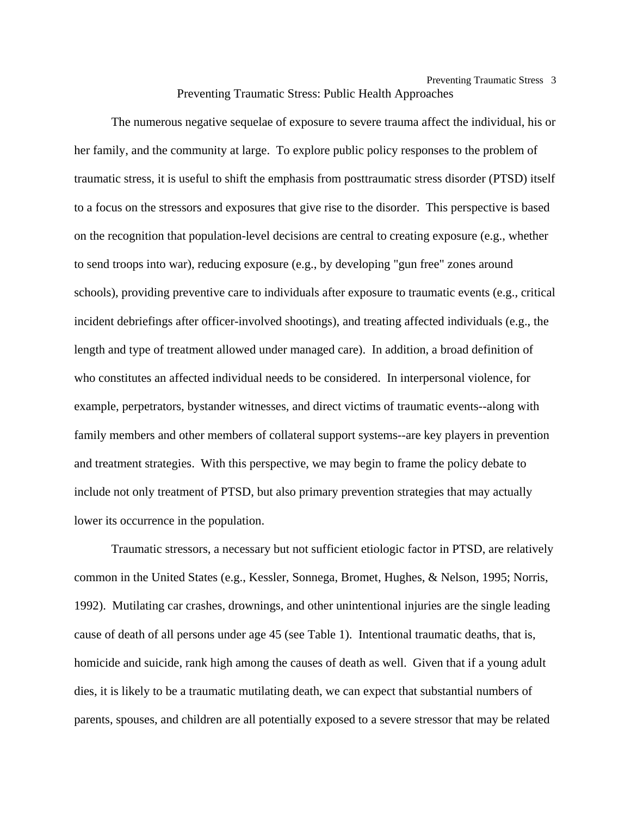The numerous negative sequelae of exposure to severe trauma affect the individual, his or her family, and the community at large. To explore public policy responses to the problem of traumatic stress, it is useful to shift the emphasis from posttraumatic stress disorder (PTSD) itself to a focus on the stressors and exposures that give rise to the disorder. This perspective is based on the recognition that population-level decisions are central to creating exposure (e.g., whether to send troops into war), reducing exposure (e.g., by developing "gun free" zones around schools), providing preventive care to individuals after exposure to traumatic events (e.g., critical incident debriefings after officer-involved shootings), and treating affected individuals (e.g., the length and type of treatment allowed under managed care). In addition, a broad definition of who constitutes an affected individual needs to be considered. In interpersonal violence, for example, perpetrators, bystander witnesses, and direct victims of traumatic events--along with family members and other members of collateral support systems--are key players in prevention and treatment strategies. With this perspective, we may begin to frame the policy debate to include not only treatment of PTSD, but also primary prevention strategies that may actually lower its occurrence in the population.

 Traumatic stressors, a necessary but not sufficient etiologic factor in PTSD, are relatively common in the United States (e.g., Kessler, Sonnega, Bromet, Hughes, & Nelson, 1995; Norris, 1992). Mutilating car crashes, drownings, and other unintentional injuries are the single leading cause of death of all persons under age 45 (see Table 1). Intentional traumatic deaths, that is, homicide and suicide, rank high among the causes of death as well. Given that if a young adult dies, it is likely to be a traumatic mutilating death, we can expect that substantial numbers of parents, spouses, and children are all potentially exposed to a severe stressor that may be related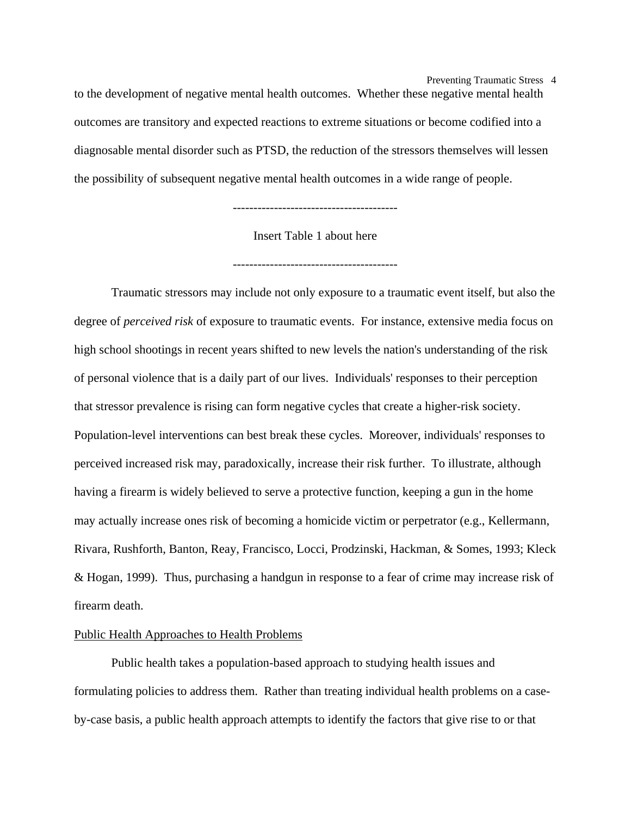Preventing Traumatic Stress 4 to the development of negative mental health outcomes. Whether these negative mental health outcomes are transitory and expected reactions to extreme situations or become codified into a diagnosable mental disorder such as PTSD, the reduction of the stressors themselves will lessen the possibility of subsequent negative mental health outcomes in a wide range of people.

----------------------------------------

Insert Table 1 about here

----------------------------------------

Traumatic stressors may include not only exposure to a traumatic event itself, but also the degree of *perceived risk* of exposure to traumatic events. For instance, extensive media focus on high school shootings in recent years shifted to new levels the nation's understanding of the risk of personal violence that is a daily part of our lives. Individuals' responses to their perception that stressor prevalence is rising can form negative cycles that create a higher-risk society. Population-level interventions can best break these cycles. Moreover, individuals' responses to perceived increased risk may, paradoxically, increase their risk further. To illustrate, although having a firearm is widely believed to serve a protective function, keeping a gun in the home may actually increase ones risk of becoming a homicide victim or perpetrator (e.g., Kellermann, Rivara, Rushforth, Banton, Reay, Francisco, Locci, Prodzinski, Hackman, & Somes, 1993; Kleck & Hogan, 1999). Thus, purchasing a handgun in response to a fear of crime may increase risk of firearm death.

#### Public Health Approaches to Health Problems

 Public health takes a population-based approach to studying health issues and formulating policies to address them. Rather than treating individual health problems on a caseby-case basis, a public health approach attempts to identify the factors that give rise to or that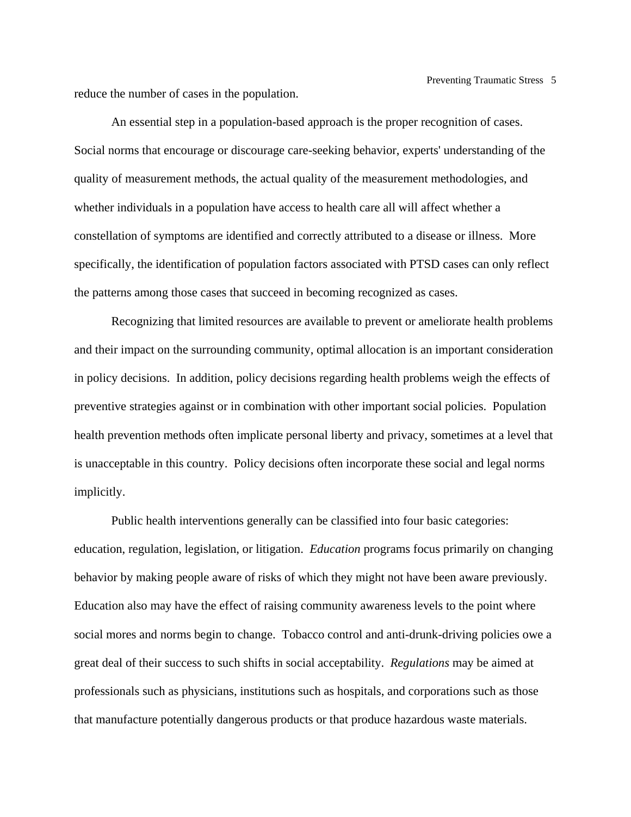reduce the number of cases in the population.

 An essential step in a population-based approach is the proper recognition of cases. Social norms that encourage or discourage care-seeking behavior, experts' understanding of the quality of measurement methods, the actual quality of the measurement methodologies, and whether individuals in a population have access to health care all will affect whether a constellation of symptoms are identified and correctly attributed to a disease or illness. More specifically, the identification of population factors associated with PTSD cases can only reflect the patterns among those cases that succeed in becoming recognized as cases.

 Recognizing that limited resources are available to prevent or ameliorate health problems and their impact on the surrounding community, optimal allocation is an important consideration in policy decisions. In addition, policy decisions regarding health problems weigh the effects of preventive strategies against or in combination with other important social policies. Population health prevention methods often implicate personal liberty and privacy, sometimes at a level that is unacceptable in this country. Policy decisions often incorporate these social and legal norms implicitly.

 Public health interventions generally can be classified into four basic categories: education, regulation, legislation, or litigation. *Education* programs focus primarily on changing behavior by making people aware of risks of which they might not have been aware previously. Education also may have the effect of raising community awareness levels to the point where social mores and norms begin to change. Tobacco control and anti-drunk-driving policies owe a great deal of their success to such shifts in social acceptability. *Regulations* may be aimed at professionals such as physicians, institutions such as hospitals, and corporations such as those that manufacture potentially dangerous products or that produce hazardous waste materials.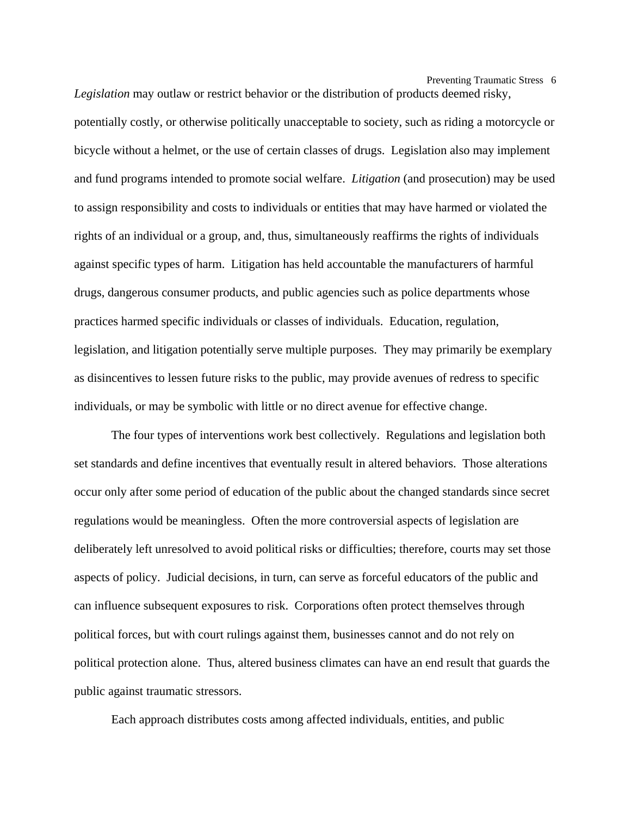Preventing Traumatic Stress 6 *Legislation* may outlaw or restrict behavior or the distribution of products deemed risky,

potentially costly, or otherwise politically unacceptable to society, such as riding a motorcycle or bicycle without a helmet, or the use of certain classes of drugs. Legislation also may implement and fund programs intended to promote social welfare. *Litigation* (and prosecution) may be used to assign responsibility and costs to individuals or entities that may have harmed or violated the rights of an individual or a group, and, thus, simultaneously reaffirms the rights of individuals against specific types of harm. Litigation has held accountable the manufacturers of harmful drugs, dangerous consumer products, and public agencies such as police departments whose practices harmed specific individuals or classes of individuals. Education, regulation, legislation, and litigation potentially serve multiple purposes. They may primarily be exemplary as disincentives to lessen future risks to the public, may provide avenues of redress to specific individuals, or may be symbolic with little or no direct avenue for effective change.

 The four types of interventions work best collectively. Regulations and legislation both set standards and define incentives that eventually result in altered behaviors. Those alterations occur only after some period of education of the public about the changed standards since secret regulations would be meaningless. Often the more controversial aspects of legislation are deliberately left unresolved to avoid political risks or difficulties; therefore, courts may set those aspects of policy. Judicial decisions, in turn, can serve as forceful educators of the public and can influence subsequent exposures to risk. Corporations often protect themselves through political forces, but with court rulings against them, businesses cannot and do not rely on political protection alone. Thus, altered business climates can have an end result that guards the public against traumatic stressors.

Each approach distributes costs among affected individuals, entities, and public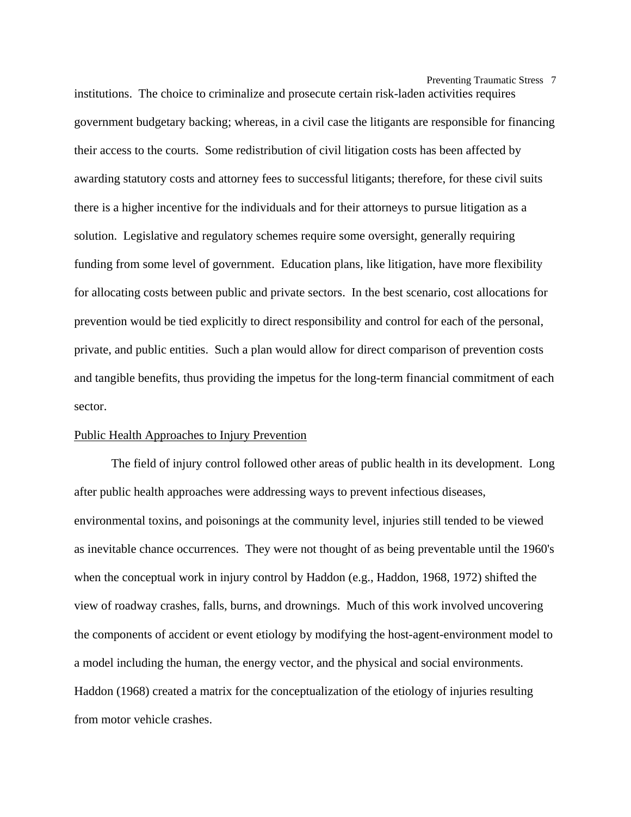Preventing Traumatic Stress 7

institutions. The choice to criminalize and prosecute certain risk-laden activities requires government budgetary backing; whereas, in a civil case the litigants are responsible for financing their access to the courts. Some redistribution of civil litigation costs has been affected by awarding statutory costs and attorney fees to successful litigants; therefore, for these civil suits there is a higher incentive for the individuals and for their attorneys to pursue litigation as a solution. Legislative and regulatory schemes require some oversight, generally requiring funding from some level of government. Education plans, like litigation, have more flexibility for allocating costs between public and private sectors. In the best scenario, cost allocations for prevention would be tied explicitly to direct responsibility and control for each of the personal, private, and public entities. Such a plan would allow for direct comparison of prevention costs and tangible benefits, thus providing the impetus for the long-term financial commitment of each sector.

## Public Health Approaches to Injury Prevention

 The field of injury control followed other areas of public health in its development. Long after public health approaches were addressing ways to prevent infectious diseases, environmental toxins, and poisonings at the community level, injuries still tended to be viewed as inevitable chance occurrences. They were not thought of as being preventable until the 1960's when the conceptual work in injury control by Haddon (e.g., Haddon, 1968, 1972) shifted the view of roadway crashes, falls, burns, and drownings. Much of this work involved uncovering the components of accident or event etiology by modifying the host-agent-environment model to a model including the human, the energy vector, and the physical and social environments. Haddon (1968) created a matrix for the conceptualization of the etiology of injuries resulting from motor vehicle crashes.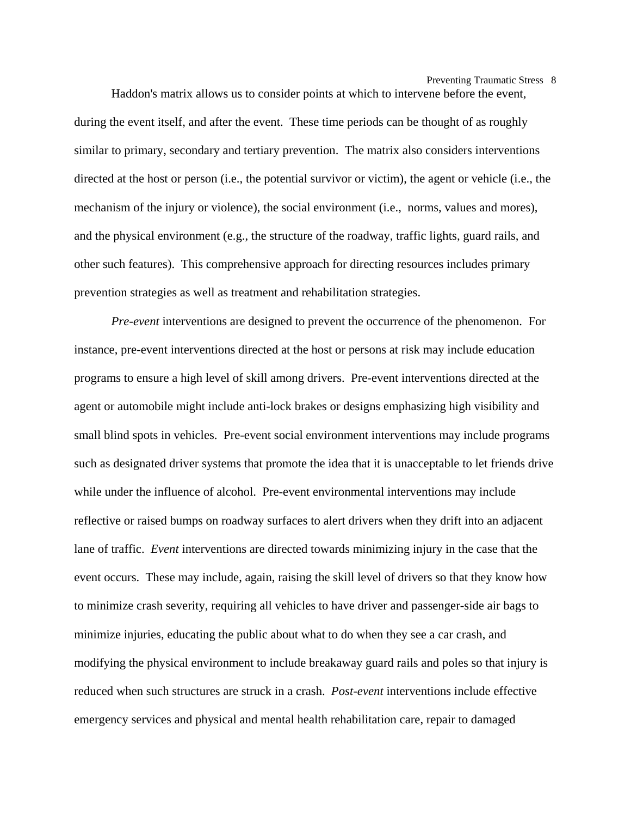Preventing Traumatic Stress 8

 Haddon's matrix allows us to consider points at which to intervene before the event, during the event itself, and after the event. These time periods can be thought of as roughly similar to primary, secondary and tertiary prevention. The matrix also considers interventions directed at the host or person (i.e., the potential survivor or victim), the agent or vehicle (i.e., the mechanism of the injury or violence), the social environment (i.e., norms, values and mores), and the physical environment (e.g., the structure of the roadway, traffic lights, guard rails, and other such features). This comprehensive approach for directing resources includes primary prevention strategies as well as treatment and rehabilitation strategies.

*Pre-event* interventions are designed to prevent the occurrence of the phenomenon. For instance, pre-event interventions directed at the host or persons at risk may include education programs to ensure a high level of skill among drivers. Pre-event interventions directed at the agent or automobile might include anti-lock brakes or designs emphasizing high visibility and small blind spots in vehicles. Pre-event social environment interventions may include programs such as designated driver systems that promote the idea that it is unacceptable to let friends drive while under the influence of alcohol. Pre-event environmental interventions may include reflective or raised bumps on roadway surfaces to alert drivers when they drift into an adjacent lane of traffic. *Event* interventions are directed towards minimizing injury in the case that the event occurs. These may include, again, raising the skill level of drivers so that they know how to minimize crash severity, requiring all vehicles to have driver and passenger-side air bags to minimize injuries, educating the public about what to do when they see a car crash, and modifying the physical environment to include breakaway guard rails and poles so that injury is reduced when such structures are struck in a crash. *Post-event* interventions include effective emergency services and physical and mental health rehabilitation care, repair to damaged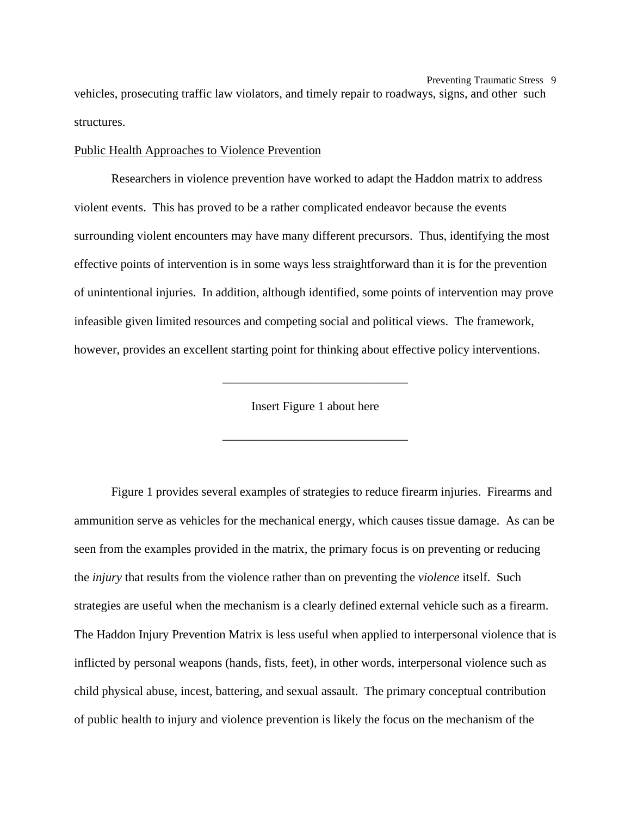Preventing Traumatic Stress 9 vehicles, prosecuting traffic law violators, and timely repair to roadways, signs, and other such structures.

#### Public Health Approaches to Violence Prevention

 Researchers in violence prevention have worked to adapt the Haddon matrix to address violent events. This has proved to be a rather complicated endeavor because the events surrounding violent encounters may have many different precursors. Thus, identifying the most effective points of intervention is in some ways less straightforward than it is for the prevention of unintentional injuries. In addition, although identified, some points of intervention may prove infeasible given limited resources and competing social and political views. The framework, however, provides an excellent starting point for thinking about effective policy interventions.

Insert Figure 1 about here

\_\_\_\_\_\_\_\_\_\_\_\_\_\_\_\_\_\_\_\_\_\_\_\_\_\_\_\_\_\_

\_\_\_\_\_\_\_\_\_\_\_\_\_\_\_\_\_\_\_\_\_\_\_\_\_\_\_\_\_\_

 Figure 1 provides several examples of strategies to reduce firearm injuries. Firearms and ammunition serve as vehicles for the mechanical energy, which causes tissue damage. As can be seen from the examples provided in the matrix, the primary focus is on preventing or reducing the *injury* that results from the violence rather than on preventing the *violence* itself. Such strategies are useful when the mechanism is a clearly defined external vehicle such as a firearm. The Haddon Injury Prevention Matrix is less useful when applied to interpersonal violence that is inflicted by personal weapons (hands, fists, feet), in other words, interpersonal violence such as child physical abuse, incest, battering, and sexual assault. The primary conceptual contribution of public health to injury and violence prevention is likely the focus on the mechanism of the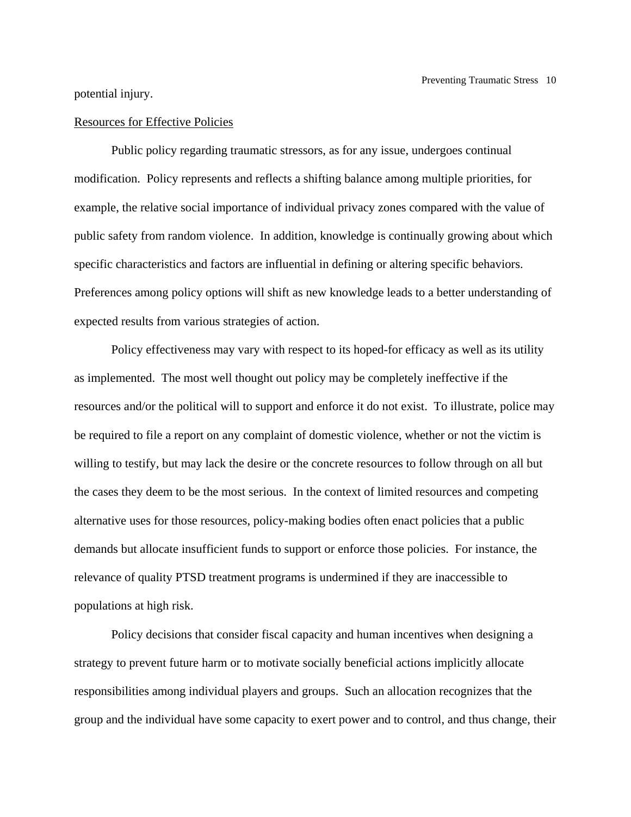potential injury.

#### Resources for Effective Policies

 Public policy regarding traumatic stressors, as for any issue, undergoes continual modification. Policy represents and reflects a shifting balance among multiple priorities, for example, the relative social importance of individual privacy zones compared with the value of public safety from random violence. In addition, knowledge is continually growing about which specific characteristics and factors are influential in defining or altering specific behaviors. Preferences among policy options will shift as new knowledge leads to a better understanding of expected results from various strategies of action.

 Policy effectiveness may vary with respect to its hoped-for efficacy as well as its utility as implemented. The most well thought out policy may be completely ineffective if the resources and/or the political will to support and enforce it do not exist. To illustrate, police may be required to file a report on any complaint of domestic violence, whether or not the victim is willing to testify, but may lack the desire or the concrete resources to follow through on all but the cases they deem to be the most serious. In the context of limited resources and competing alternative uses for those resources, policy-making bodies often enact policies that a public demands but allocate insufficient funds to support or enforce those policies. For instance, the relevance of quality PTSD treatment programs is undermined if they are inaccessible to populations at high risk.

Policy decisions that consider fiscal capacity and human incentives when designing a strategy to prevent future harm or to motivate socially beneficial actions implicitly allocate responsibilities among individual players and groups. Such an allocation recognizes that the group and the individual have some capacity to exert power and to control, and thus change, their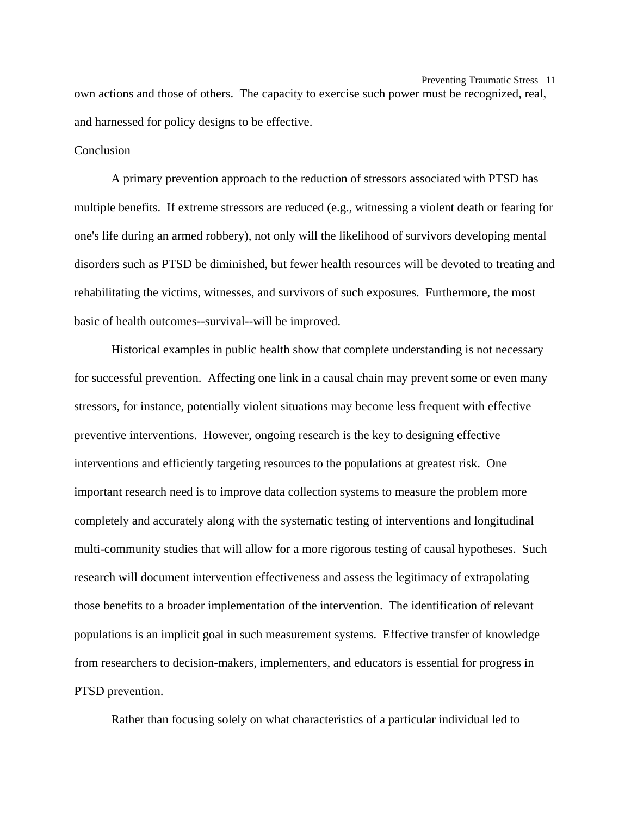Preventing Traumatic Stress 11 own actions and those of others. The capacity to exercise such power must be recognized, real, and harnessed for policy designs to be effective.

#### Conclusion

 A primary prevention approach to the reduction of stressors associated with PTSD has multiple benefits. If extreme stressors are reduced (e.g., witnessing a violent death or fearing for one's life during an armed robbery), not only will the likelihood of survivors developing mental disorders such as PTSD be diminished, but fewer health resources will be devoted to treating and rehabilitating the victims, witnesses, and survivors of such exposures. Furthermore, the most basic of health outcomes--survival--will be improved.

 Historical examples in public health show that complete understanding is not necessary for successful prevention. Affecting one link in a causal chain may prevent some or even many stressors, for instance, potentially violent situations may become less frequent with effective preventive interventions. However, ongoing research is the key to designing effective interventions and efficiently targeting resources to the populations at greatest risk. One important research need is to improve data collection systems to measure the problem more completely and accurately along with the systematic testing of interventions and longitudinal multi-community studies that will allow for a more rigorous testing of causal hypotheses. Such research will document intervention effectiveness and assess the legitimacy of extrapolating those benefits to a broader implementation of the intervention. The identification of relevant populations is an implicit goal in such measurement systems. Effective transfer of knowledge from researchers to decision-makers, implementers, and educators is essential for progress in PTSD prevention.

Rather than focusing solely on what characteristics of a particular individual led to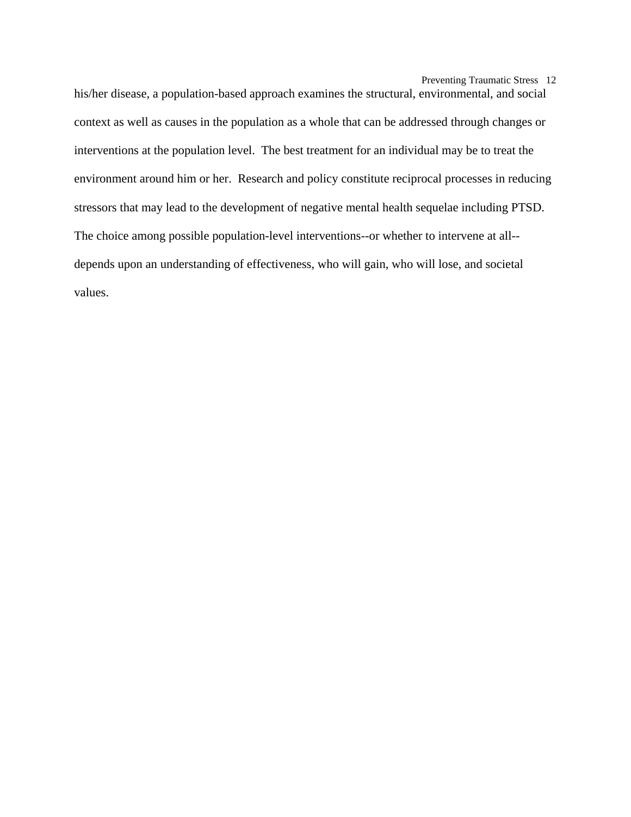Preventing Traumatic Stress 12

his/her disease, a population-based approach examines the structural, environmental, and social context as well as causes in the population as a whole that can be addressed through changes or interventions at the population level. The best treatment for an individual may be to treat the environment around him or her. Research and policy constitute reciprocal processes in reducing stressors that may lead to the development of negative mental health sequelae including PTSD. The choice among possible population-level interventions--or whether to intervene at all- depends upon an understanding of effectiveness, who will gain, who will lose, and societal values.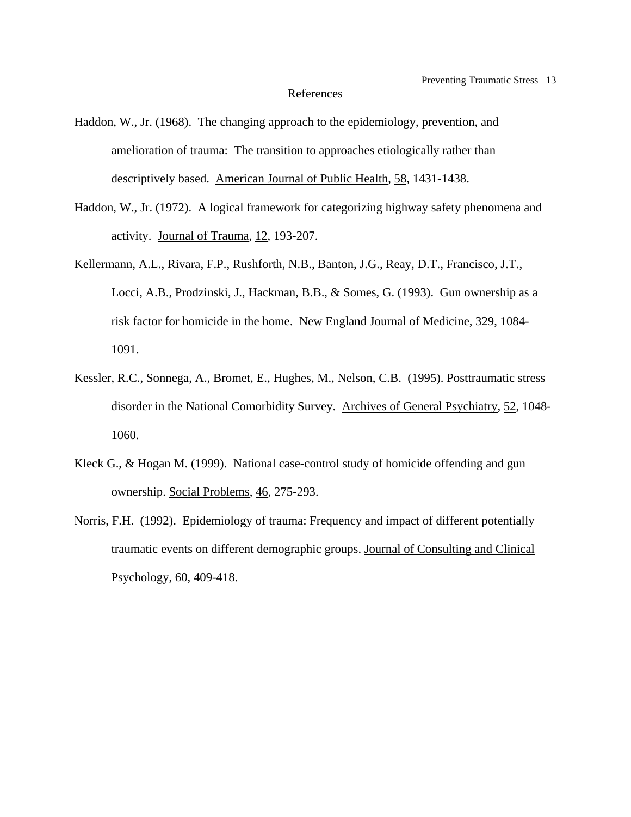### References

- Haddon, W., Jr. (1968). The changing approach to the epidemiology, prevention, and amelioration of trauma: The transition to approaches etiologically rather than descriptively based. American Journal of Public Health, 58, 1431-1438.
- Haddon, W., Jr. (1972). A logical framework for categorizing highway safety phenomena and activity. Journal of Trauma, 12, 193-207.
- Kellermann, A.L., Rivara, F.P., Rushforth, N.B., Banton, J.G., Reay, D.T., Francisco, J.T., Locci, A.B., Prodzinski, J., Hackman, B.B., & Somes, G. (1993). Gun ownership as a risk factor for homicide in the home. New England Journal of Medicine, 329, 1084- 1091.
- Kessler, R.C., Sonnega, A., Bromet, E., Hughes, M., Nelson, C.B. (1995). Posttraumatic stress disorder in the National Comorbidity Survey. Archives of General Psychiatry, 52, 1048- 1060.
- Kleck G., & Hogan M. (1999). National case-control study of homicide offending and gun ownership. Social Problems, 46, 275-293.
- Norris, F.H. (1992). Epidemiology of trauma: Frequency and impact of different potentially traumatic events on different demographic groups. Journal of Consulting and Clinical Psychology, 60, 409-418.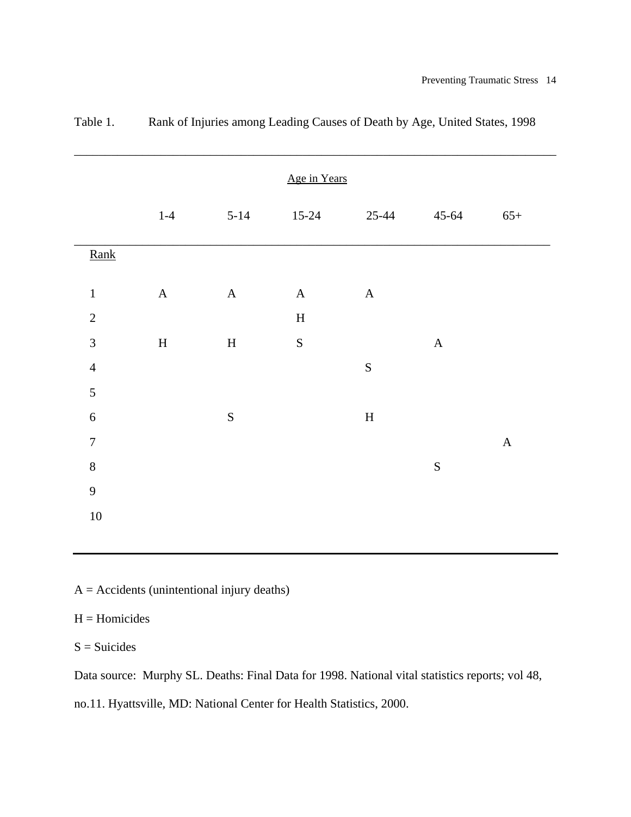|                  |              |             | Age in Years  |             |               |             |
|------------------|--------------|-------------|---------------|-------------|---------------|-------------|
|                  | $1-4$        | $5 - 14$    | $15-24$       | $25 - 44$   | $45 - 64$     | $65+$       |
| Rank             |              |             |               |             |               |             |
| $\mathbf 1$      | $\mathbf A$  | $\mathbf A$ | $\mathbf A$   | $\mathbf A$ |               |             |
| $\sqrt{2}$       |              |             | $\mathbf H$   |             |               |             |
| $\mathfrak{Z}$   | $\, {\rm H}$ | $\mathbf H$ | ${\mathbf S}$ |             | $\mathbf A$   |             |
| $\overline{4}$   |              |             |               | ${\bf S}$   |               |             |
| $\sqrt{5}$       |              |             |               |             |               |             |
| $\sqrt{6}$       |              | ${\bf S}$   |               | $\mathbf H$ |               |             |
| $\boldsymbol{7}$ |              |             |               |             |               | $\mathbf A$ |
| $8\,$            |              |             |               |             | ${\mathbf S}$ |             |
| 9                |              |             |               |             |               |             |
| $10\,$           |              |             |               |             |               |             |
|                  |              |             |               |             |               |             |

Table 1. Rank of Injuries among Leading Causes of Death by Age, United States, 1998

 $A =$  Accidents (unintentional injury deaths)

## $H =$  Homicides

 $S =$ Suicides

Data source: Murphy SL. Deaths: Final Data for 1998. National vital statistics reports; vol 48,

no.11. Hyattsville, MD: National Center for Health Statistics, 2000.